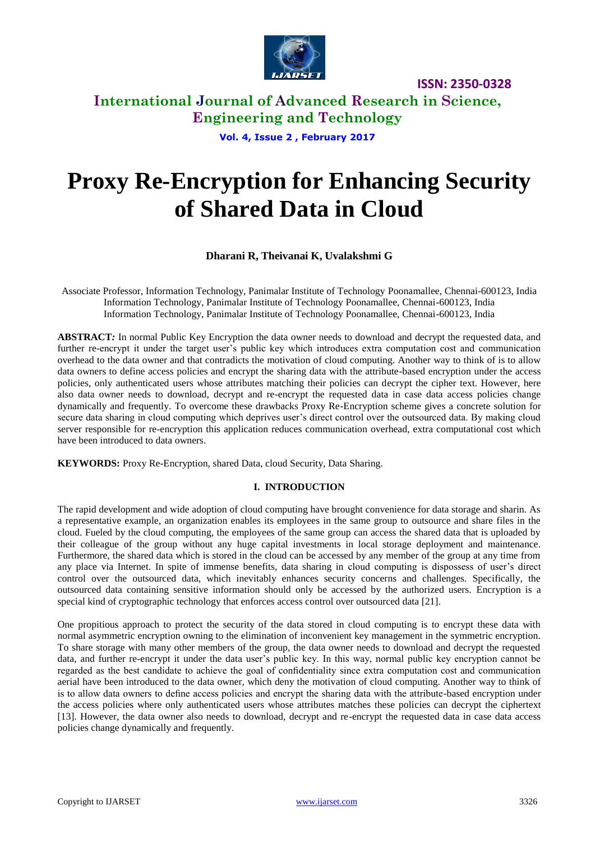

**International Journal of Advanced Research in Science, Engineering and Technology**

**Vol. 4, Issue 2 , February 2017**

# **Proxy Re-Encryption for Enhancing Security of Shared Data in Cloud**

## **Dharani R, Theivanai K, Uvalakshmi G**

Associate Professor, Information Technology, Panimalar Institute of Technology Poonamallee, Chennai-600123, India Information Technology, Panimalar Institute of Technology Poonamallee, Chennai-600123, India Information Technology, Panimalar Institute of Technology Poonamallee, Chennai-600123, India

**ABSTRACT***:* In normal Public Key Encryption the data owner needs to download and decrypt the requested data, and further re-encrypt it under the target user's public key which introduces extra computation cost and communication overhead to the data owner and that contradicts the motivation of cloud computing. Another way to think of is to allow data owners to define access policies and encrypt the sharing data with the attribute-based encryption under the access policies, only authenticated users whose attributes matching their policies can decrypt the cipher text. However, here also data owner needs to download, decrypt and re-encrypt the requested data in case data access policies change dynamically and frequently. To overcome these drawbacks Proxy Re-Encryption scheme gives a concrete solution for secure data sharing in cloud computing which deprives user's direct control over the outsourced data. By making cloud server responsible for re-encryption this application reduces communication overhead, extra computational cost which have been introduced to data owners.

**KEYWORDS:** Proxy Re-Encryption, shared Data, cloud Security, Data Sharing.

#### **I. INTRODUCTION**

The rapid development and wide adoption of cloud computing have brought convenience for data storage and sharin. As a representative example, an organization enables its employees in the same group to outsource and share files in the cloud. Fueled by the cloud computing, the employees of the same group can access the shared data that is uploaded by their colleague of the group without any huge capital investments in local storage deployment and maintenance. Furthermore, the shared data which is stored in the cloud can be accessed by any member of the group at any time from any place via Internet. In spite of immense benefits, data sharing in cloud computing is dispossess of user's direct control over the outsourced data, which inevitably enhances security concerns and challenges. Specifically, the outsourced data containing sensitive information should only be accessed by the authorized users. Encryption is a special kind of cryptographic technology that enforces access control over outsourced data [21].

One propitious approach to protect the security of the data stored in cloud computing is to encrypt these data with normal asymmetric encryption owning to the elimination of inconvenient key management in the symmetric encryption. To share storage with many other members of the group, the data owner needs to download and decrypt the requested data, and further re-encrypt it under the data user's public key. In this way, normal public key encryption cannot be regarded as the best candidate to achieve the goal of confidentiality since extra computation cost and communication aerial have been introduced to the data owner, which deny the motivation of cloud computing. Another way to think of is to allow data owners to define access policies and encrypt the sharing data with the attribute-based encryption under the access policies where only authenticated users whose attributes matches these policies can decrypt the ciphertext [13]. However, the data owner also needs to download, decrypt and re-encrypt the requested data in case data access policies change dynamically and frequently.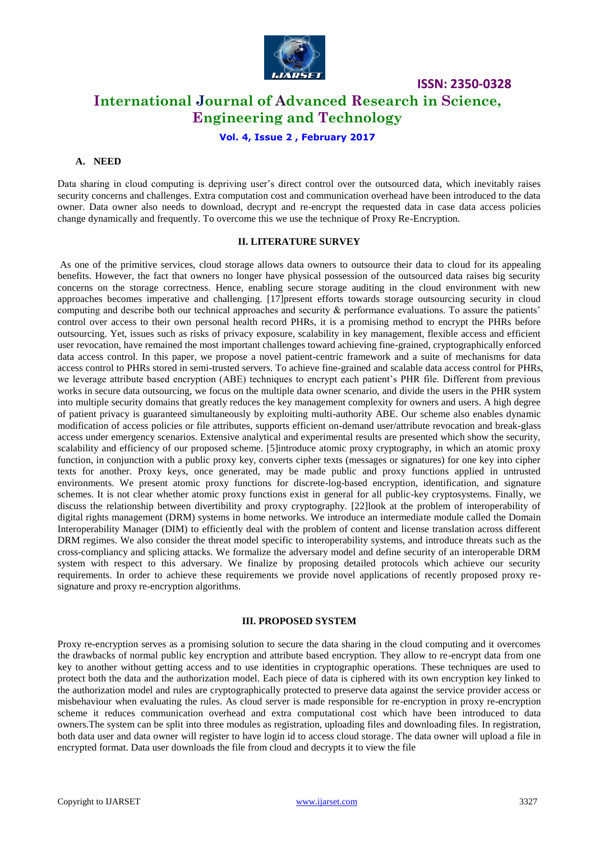

**ISSN: 2350-0328 International Journal of Advanced Research in Science, Engineering and Technology**

## **Vol. 4, Issue 2 , February 2017**

#### **A. NEED**

Data sharing in cloud computing is depriving user's direct control over the outsourced data, which inevitably raises security concerns and challenges. Extra computation cost and communication overhead have been introduced to the data owner. Data owner also needs to download, decrypt and re-encrypt the requested data in case data access policies change dynamically and frequently. To overcome this we use the technique of Proxy Re-Encryption.

#### **II. LITERATURE SURVEY**

As one of the primitive services, cloud storage allows data owners to outsource their data to cloud for its appealing benefits. However, the fact that owners no longer have physical possession of the outsourced data raises big security concerns on the storage correctness. Hence, enabling secure storage auditing in the cloud environment with new approaches becomes imperative and challenging. [17]present efforts towards storage outsourcing security in cloud computing and describe both our technical approaches and security & performance evaluations. To assure the patients' control over access to their own personal health record PHRs, it is a promising method to encrypt the PHRs before outsourcing. Yet, issues such as risks of privacy exposure, scalability in key management, flexible access and efficient user revocation, have remained the most important challenges toward achieving fine-grained, cryptographically enforced data access control. In this paper, we propose a novel patient-centric framework and a suite of mechanisms for data access control to PHRs stored in semi-trusted servers. To achieve fine-grained and scalable data access control for PHRs, we leverage attribute based encryption (ABE) techniques to encrypt each patient's PHR file. Different from previous works in secure data outsourcing, we focus on the multiple data owner scenario, and divide the users in the PHR system into multiple security domains that greatly reduces the key management complexity for owners and users. A high degree of patient privacy is guaranteed simultaneously by exploiting multi-authority ABE. Our scheme also enables dynamic modification of access policies or file attributes, supports efficient on-demand user/attribute revocation and break-glass access under emergency scenarios. Extensive analytical and experimental results are presented which show the security, scalability and efficiency of our proposed scheme. [5]introduce atomic proxy cryptography, in which an atomic proxy function, in conjunction with a public proxy key, converts cipher texts (messages or signatures) for one key into cipher texts for another. Proxy keys, once generated, may be made public and proxy functions applied in untrusted environments. We present atomic proxy functions for discrete-log-based encryption, identification, and signature schemes. It is not clear whether atomic proxy functions exist in general for all public-key cryptosystems. Finally, we discuss the relationship between divertibility and proxy cryptography. [22]look at the problem of interoperability of digital rights management (DRM) systems in home networks. We introduce an intermediate module called the Domain Interoperability Manager (DIM) to efficiently deal with the problem of content and license translation across different DRM regimes. We also consider the threat model specific to interoperability systems, and introduce threats such as the cross-compliancy and splicing attacks. We formalize the adversary model and define security of an interoperable DRM system with respect to this adversary. We finalize by proposing detailed protocols which achieve our security requirements. In order to achieve these requirements we provide novel applications of recently proposed proxy resignature and proxy re-encryption algorithms.

#### **III. PROPOSED SYSTEM**

Proxy re-encryption serves as a promising solution to secure the data sharing in the cloud computing and it overcomes the drawbacks of normal public key encryption and attribute based encryption. They allow to re-encrypt data from one key to another without getting access and to use identities in cryptographic operations. These techniques are used to protect both the data and the authorization model. Each piece of data is ciphered with its own encryption key linked to the authorization model and rules are cryptographically protected to preserve data against the service provider access or misbehaviour when evaluating the rules. As cloud server is made responsible for re-encryption in proxy re-encryption scheme it reduces communication overhead and extra computational cost which have been introduced to data owners.The system can be split into three modules as registration, uploading files and downloading files. In registration, both data user and data owner will register to have login id to access cloud storage. The data owner will upload a file in encrypted format. Data user downloads the file from cloud and decrypts it to view the file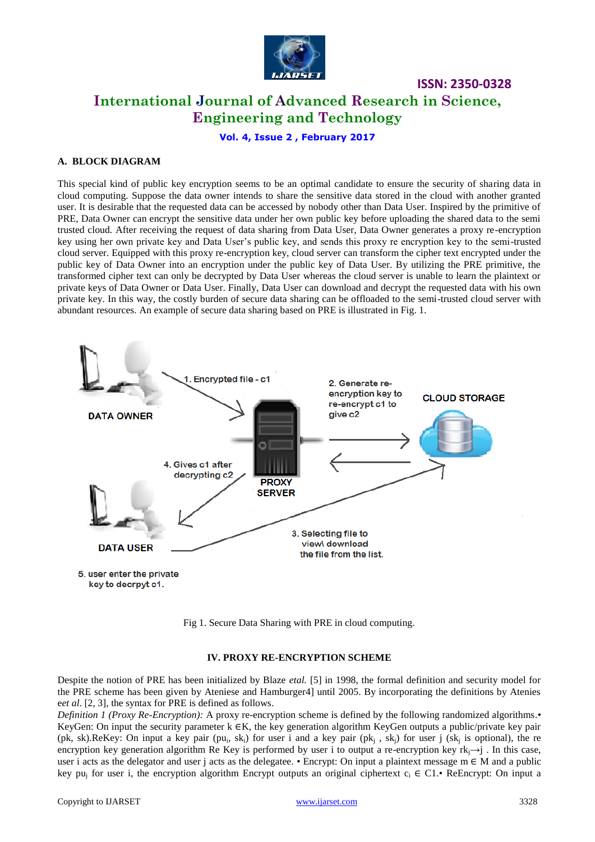

# **International Journal of Advanced Research in Science, Engineering and Technology**

**Vol. 4, Issue 2 , February 2017**

## **A. BLOCK DIAGRAM**

This special kind of public key encryption seems to be an optimal candidate to ensure the security of sharing data in cloud computing. Suppose the data owner intends to share the sensitive data stored in the cloud with another granted user. It is desirable that the requested data can be accessed by nobody other than Data User. Inspired by the primitive of PRE, Data Owner can encrypt the sensitive data under her own public key before uploading the shared data to the semi trusted cloud. After receiving the request of data sharing from Data User, Data Owner generates a proxy re-encryption key using her own private key and Data User's public key, and sends this proxy re encryption key to the semi-trusted cloud server. Equipped with this proxy re-encryption key, cloud server can transform the cipher text encrypted under the public key of Data Owner into an encryption under the public key of Data User. By utilizing the PRE primitive, the transformed cipher text can only be decrypted by Data User whereas the cloud server is unable to learn the plaintext or private keys of Data Owner or Data User. Finally, Data User can download and decrypt the requested data with his own private key. In this way, the costly burden of secure data sharing can be offloaded to the semi-trusted cloud server with abundant resources. An example of secure data sharing based on PRE is illustrated in Fig. 1.



Fig 1. Secure Data Sharing with PRE in cloud computing.

#### **IV. PROXY RE-ENCRYPTION SCHEME**

Despite the notion of PRE has been initialized by Blaze *etal.* [5] in 1998, the formal definition and security model for the PRE scheme has been given by Ateniese and Hamburger4] until 2005. By incorporating the definitions by Atenies e*et al*. [2, 3], the syntax for PRE is defined as follows.

*Definition 1 (Proxy Re-Encryption):* A proxy re-encryption scheme is defined by the following randomized algorithms.• KeyGen: On input the security parameter k ∈K, the key generation algorithm KeyGen outputs a public/private key pair (pk, sk).ReKey: On input a key pair (pu<sub>i</sub>, sk<sub>i</sub>) for user i and a key pair (pk<sub>i</sub>, sk<sub>i</sub>) for user j (sk<sub>i</sub> is optional), the re encryption key generation algorithm Re Key is performed by user i to output a re-encryption key rk<sub>i</sub>→j. In this case, user i acts as the delegator and user j acts as the delegatee. • Encrypt: On input a plaintext message  $m \in M$  and a public key pu<sub>i</sub> for user i, the encryption algorithm Encrypt outputs an original ciphertext  $c_i \in \mathbb{C}1$ . ReEncrypt: On input a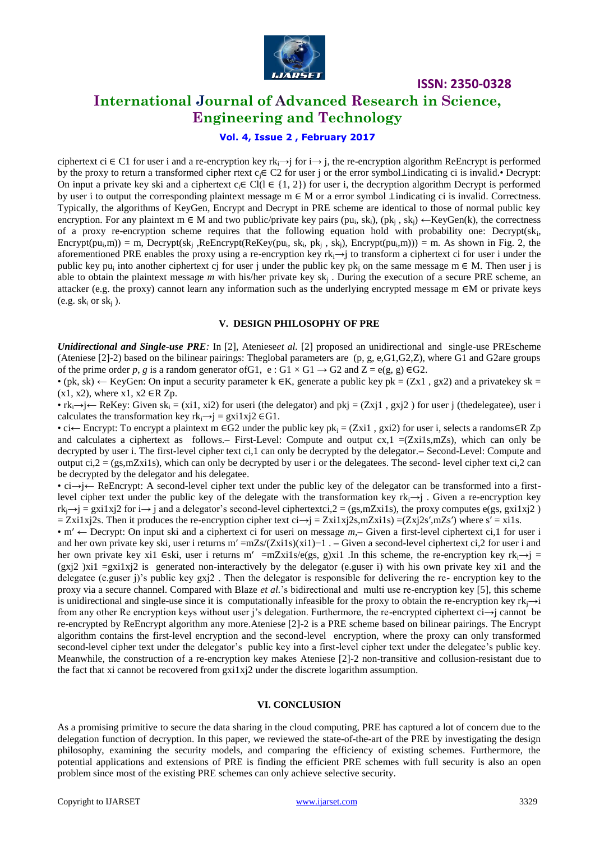

# **International Journal of Advanced Research in Science, Engineering and Technology**

## **Vol. 4, Issue 2 , February 2017**

ciphertext ci ∈ C1 for user i and a re-encryption key rk<sub>i</sub> $\rightarrow$ j for i $\rightarrow$ j, the re-encryption algorithm ReEncrypt is performed by the proxy to return a transformed cipher rtext cj∈ C2 for user j or the error symbol⊥indicating ci is invalid.• Decrypt: On input a private key ski and a ciphertext  $c_i \in Cl(I \in \{1, 2\})$  for user i, the decryption algorithm Decrypt is performed by user i to output the corresponding plaintext message m ∈ M or a error symbol ⊥indicating ci is invalid. Correctness. Typically, the algorithms of KeyGen, Encrypt and Decrypt in PRE scheme are identical to those of normal public key encryption. For any plaintext  $m \in M$  and two public/private key pairs  $(pu_i, sk_i)$ ,  $(pk_j, sk_j) \leftarrow KeyGen(k)$ , the correctness of a proxy re-encryption scheme requires that the following equation hold with probability one: Decrypt(sk<sub>i</sub>,  $\text{Encryption}(pu_i, m) = m$ ,  $\text{Decrypt}(sk_j, ReEnergy(ReKey(pu_i, sk_i, pk_j, sk_j), Encrypt(pu_i, m))) = m$ . As shown in Fig. 2, the aforementioned PRE enables the proxy using a re-encryption key rk<sub>i</sub> $\rightarrow$ j to transform a ciphertext ci for user i under the public key pu<sub>i</sub> into another ciphertext cj for user j under the public key pk<sub>j</sub> on the same message m  $\in M$ . Then user j is able to obtain the plaintext message m with his/her private key sk<sub>j</sub>. During the execution of a secure PRE scheme, an attacker (e.g. the proxy) cannot learn any information such as the underlying encrypted message m ∈M or private keys (e.g.  $sk_i$  or  $sk_i$ ).

#### **V. DESIGN PHILOSOPHY OF PRE**

*Unidirectional and Single-use PRE:* In [2], Ateniese*et al.* [2] proposed an unidirectional and single-use PREscheme (Ateniese [2]-2) based on the bilinear pairings: Theglobal parameters are (p, g, e,G1,G2,Z), where G1 and G2are groups of the prime order p, g is a random generator of G1,  $e : G1 \times G1 \rightarrow G2$  and  $Z = e(g, g) \in G2$ .

• (pk, sk)  $\leftarrow$  KeyGen: On input a security parameter k  $\in$ K, generate a public key pk = (Zx1, gx2) and a privatekey sk =  $(x1, x2)$ , where  $x1, x2 \in R$  Zp.

• rk<sub>i</sub> $\rightarrow$ j $\leftarrow$  ReKey: Given sk<sub>i</sub> = (xi1, xi2) for useri (the delegator) and pkj = (Zxj1, gxj2) for user j (thedelegatee), user i calculates the transformation key rk<sub>i</sub> $\rightarrow$ j = gxi1xj2 ∈G1.

• ci← Encrypt: To encrypt a plaintext m ∈G2 under the public key pk<sub>i</sub> = (Zxi1, gxi2) for user i, selects a randoms∈R Zp and calculates a ciphertext as follows.**–** First-Level: Compute and output cx,1 =(Zxi1s,mZs), which can only be decrypted by user i. The first-level cipher text ci,1 can only be decrypted by the delegator.**–** Second-Level: Compute and output  $ci,2 = (gs,mZx1s)$ , which can only be decrypted by user i or the delegatees. The second- level cipher text ci,2 can be decrypted by the delegator and his delegatee.

• ci→j← ReEncrypt: A second-level cipher text under the public key of the delegator can be transformed into a firstlevel cipher text under the public key of the delegate with the transformation key rk<sub>i</sub>→j. Given a re-encryption key  $rk_i\rightarrow j = gxi1xj2$  for  $i\rightarrow j$  and a delegator's second-level ciphertextci,  $2 = (gs,mZxi1s)$ , the proxy computes e(gs, gxi1xj2)  $= \overline{Z}x_1x_1z_2$ s. Then it produces the re-encryption cipher text ci→j =  $\overline{Z}x_1x_2z_3$ ,  $\overline{Z}x_1z_3$  =  $(\overline{Z}x_1z_3z_3')$  where  $s' = x_1z_3$ .

• m′ ← Decrypt: On input ski and a ciphertext ci for useri on message *m*,**–** Given a first-level ciphertext ci,1 for user i and her own private key ski, user i returns m′ =mZs/(Zxi1s)(xi1)−1 . **–** Given a second-level ciphertext ci,2 for user i and her own private key xi1 ∈ski, user i returns m' =mZxi1s/e(gs, g)xi1 .In this scheme, the re-encryption key rk<sub>i</sub> $\rightarrow$ j =  $(gxi2)$   $xil = gxi1xi2$  is generated non-interactively by the delegator (e.guser i) with his own private key xi1 and the delegatee (e.guser j)'s public key gxj2 . Then the delegator is responsible for delivering the re- encryption key to the proxy via a secure channel. Compared with Blaze *et al.*'s bidirectional and multi use re-encryption key [5], this scheme is unidirectional and single-use since it is computationally infeasible for the proxy to obtain the re-encryption key rk $\rightarrow$ i from any other Re encryption keys without user j's delegation. Furthermore, the re-encrypted ciphertext ci→j cannot be re-encrypted by ReEncrypt algorithm any more.Ateniese [2]-2 is a PRE scheme based on bilinear pairings. The Encrypt algorithm contains the first-level encryption and the second-level encryption, where the proxy can only transformed second-level cipher text under the delegator's public key into a first-level cipher text under the delegatee's public key. Meanwhile, the construction of a re-encryption key makes Ateniese [2]-2 non-transitive and collusion-resistant due to the fact that xi cannot be recovered from  $gxilxil$  under the discrete logarithm assumption.

#### **VI. CONCLUSION**

As a promising primitive to secure the data sharing in the cloud computing, PRE has captured a lot of concern due to the delegation function of decryption. In this paper, we reviewed the state-of-the-art of the PRE by investigating the design philosophy, examining the security models, and comparing the efficiency of existing schemes. Furthermore, the potential applications and extensions of PRE is finding the efficient PRE schemes with full security is also an open problem since most of the existing PRE schemes can only achieve selective security.